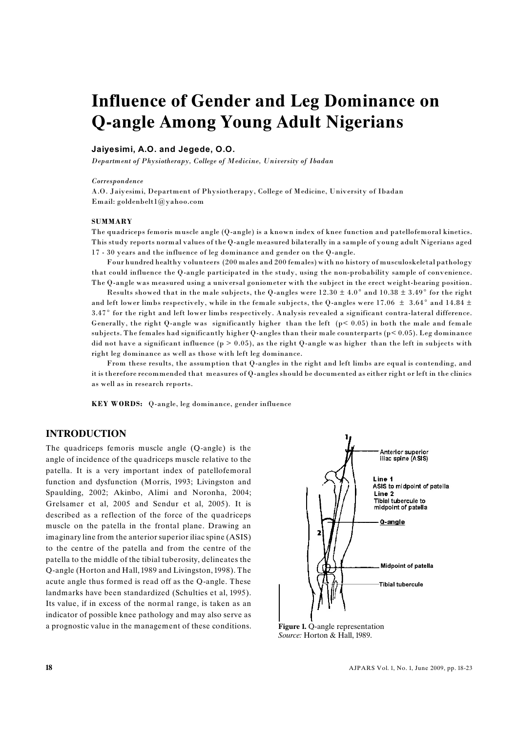# **Influence of Gender and Leg Dominance on Q-angle Among Young Adult Nigerians**

### **Jaiyesimi, A.O. and Jegede, O.O.**

*Department of Physiotherapy, College of Medicine, University of Ibadan*

#### *Correspondence*

A.O. Jaiyesimi, Department of Physiotherapy, College of Medicine, University of Ibadan Email: goldenbelt1@yahoo.com

#### **SUMMARY**

The quadriceps femoris muscle angle (Q-angle) is a known index of knee function and patellofemoral kinetics. This study reports normal values of the Q-angle measured bilaterally in a sample of young adult Nigerians aged 17 - 30 years and the influence of leg dominance and gender on the Q-angle.

Four hundred healthy volunteers (200 males and 200 females) with no history of musculoskeletal pathology that could influence the Q-angle participated in the study, using the non-probability sample of convenience. The Q-angle was measured using a universal goniometer with the subject in the erect weight-bearing position.

Results showed that in the male subjects, the Q-angles were  $12.30 \pm 4.0^{\circ}$  and  $10.38 \pm 3.49^{\circ}$  for the right and left lower limbs respectively, while in the female subjects, the Q-angles were 17.06  $\pm$  3.64° and 14.84  $\pm$ 3.47° for the right and left lower limbs respectively. Analysis revealed a significant contra-lateral difference. Generally, the right Q-angle was significantly higher than the left  $(p< 0.05)$  in both the male and female subjects. The females had significantly higher Q-angles than their male counterparts (p< 0.05). Leg dominance did not have a significant influence ( $p > 0.05$ ), as the right Q-angle was higher than the left in subjects with right leg dominance as well as those with left leg dominance.

From these results, the assumption that Q-angles in the right and left limbs are equal is contending, and it is therefore recommended that measures of Q-angles should be documented as either right or left in the clinics as well as in research reports.

**KEY WORDS:** Q-angle, leg dominance, gender influence

# **INTRODUCTION**

The quadriceps femoris muscle angle (Q-angle) is the angle of incidence of the quadriceps muscle relative to the patella. It is a very important index of patellofemoral function and dysfunction (Morris, 1993; Livingston and Spaulding, 2002; Akinbo, Alimi and Noronha, 2004; Grelsamer et al, 2005 and Sendur et al, 2005). It is described as a reflection of the force of the quadriceps muscle on the patella in the frontal plane. Drawing an imaginary line from the anterior superior iliac spine (ASIS) to the centre of the patella and from the centre of the patella to the middle of the tibial tuberosity, delineates the Q-angle (Horton and Hall, 1989 and Livingston, 1998). The acute angle thus formed is read off as the Q-angle. These landmarks have been standardized (Schulties et al, 1995). Its value, if in excess of the normal range, is taken as an indicator of possible knee pathology and may also serve as a prognostic value in the management of these conditions. **Figure 1.** Q-angle representation



*Source:* Horton & Hall, 1989.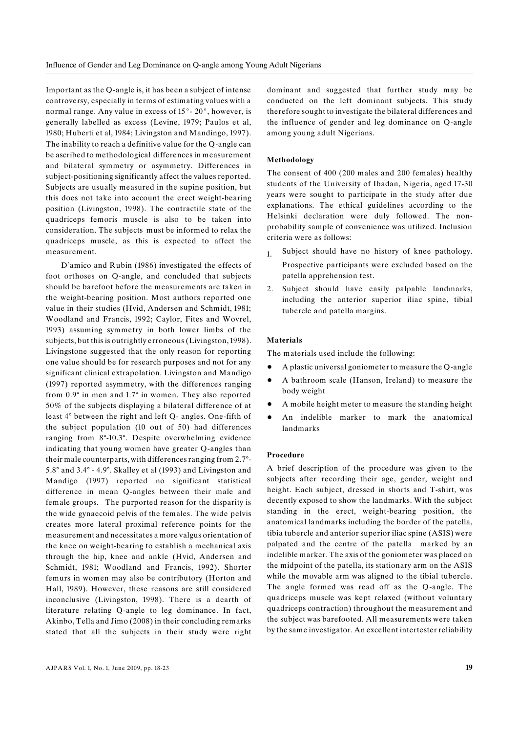Important as the Q-angle is, it has been a subject of intense controversy, especially in terms of estimating values with a normal range. Any value in excess of  $15^{\circ}$ - 20°, however, is generally labelled as excess (Levine, 1979; Paulos et al, 1980; Huberti et al, 1984; Livingston and Mandingo, 1997). The inability to reach a definitive value for the Q-angle can be ascribed to methodological differences in measurement and bilateral symmetry or asymmetry. Differences in subject-positioning significantly affect the values reported. Subjects are usually measured in the supine position, but this does not take into account the erect weight-bearing position (Livingston, 1998). The contractile state of the quadriceps femoris muscle is also to be taken into consideration. The subjects must be informed to relax the quadriceps muscle, as this is expected to affect the measurement.

D'amico and Rubin (1986) investigated the effects of foot orthoses on Q-angle, and concluded that subjects should be barefoot before the measurements are taken in the weight-bearing position. Most authors reported one value in their studies (Hvid, Andersen and Schmidt, 1981; Woodland and Francis, 1992; Caylor, Fites and Wovrel, 1993) assuming symmetry in both lower limbs of the subjects, but this is outrightly erroneous (Livingston, 1998). Livingstone suggested that the only reason for reporting one value should be for research purposes and not for any significant clinical extrapolation. Livingston and Mandigo (1997) reported asymmetry, with the differences ranging from 0.9° in men and 1.7° in women. They also reported 50% of the subjects displaying a bilateral difference of at least 4° between the right and left Q- angles. One-fifth of the subject population (10 out of 50) had differences ranging from 8°-10.3°. Despite overwhelming evidence indicating that young women have greater Q-angles than their male counterparts, with differences ranging from 2.7°- 5.8° and 3.4° - 4.9°. Skalley et al (1993) and Livingston and Mandigo (1997) reported no significant statistical difference in mean Q-angles between their male and female groups. The purported reason for the disparity is the wide gynaecoid pelvis of the females. The wide pelvis creates more lateral proximal reference points for the measurement and necessitates a more valgus orientation of the knee on weight-bearing to establish a mechanical axis through the hip, knee and ankle (Hvid, Andersen and Schmidt, 1981; Woodland and Francis, 1992). Shorter femurs in women may also be contributory (Horton and Hall, 1989). However, these reasons are still considered inconclusive (Livingston, 1998). There is a dearth of literature relating Q-angle to leg dominance. In fact, Akinbo, Tella and Jimo (2008) in their concluding remarks stated that all the subjects in their study were right dominant and suggested that further study may be conducted on the left dominant subjects. This study therefore sought to investigate the bilateral differences and the influence of gender and leg dominance on Q-angle among young adult Nigerians.

#### **Methodology**

The consent of 400 (200 males and 200 females) healthy students of the University of Ibadan, Nigeria, aged 17-30 years were sought to participate in the study after due explanations. The ethical guidelines according to the Helsinki declaration were duly followed. The nonprobability sample of convenience was utilized. Inclusion criteria were as follows:

- 1. Subject should have no history of knee pathology. Prospective participants were excluded based on the patella apprehension test.
- 2. Subject should have easily palpable landmarks, including the anterior superior iliac spine, tibial tubercle and patella margins.

#### **Materials**

The materials used include the following:

- ! A plastic universal goniometer to measure the Q-angle
- ! A bathroom scale (Hanson, Ireland) to measure the body weight
- A mobile height meter to measure the standing height
- ! An indelible marker to mark the anatomical landmarks

#### **Procedure**

A brief description of the procedure was given to the subjects after recording their age, gender, weight and height. Each subject, dressed in shorts and T-shirt, was decently exposed to show the landmarks. With the subject standing in the erect, weight-bearing position, the anatomical landmarks including the border of the patella, tibia tubercle and anterior superior iliac spine (ASIS) were palpated and the centre of the patella marked by an indelible marker. The axis of the goniometer was placed on the midpoint of the patella, its stationary arm on the ASIS while the movable arm was aligned to the tibial tubercle. The angle formed was read off as the Q-angle. The quadriceps muscle was kept relaxed (without voluntary quadriceps contraction) throughout the measurement and the subject was barefooted. All measurements were taken by the same investigator. An excellent intertester reliability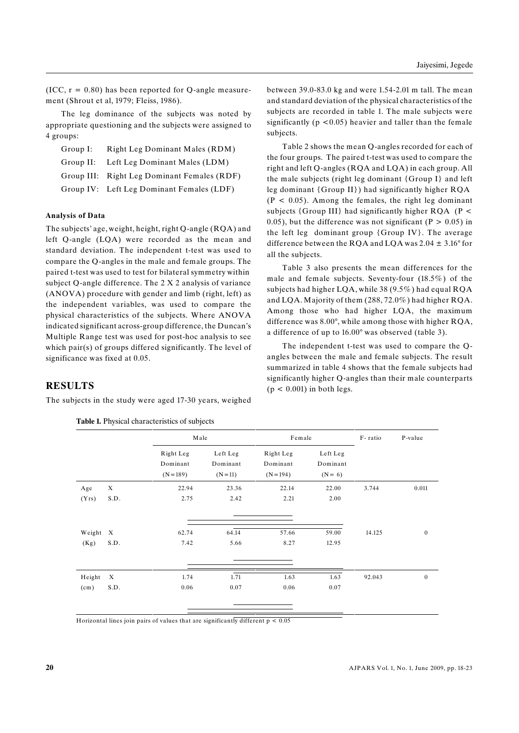(ICC,  $r = 0.80$ ) has been reported for Q-angle measurement (Shrout et al, 1979; Fleiss, 1986).

The leg dominance of the subjects was noted by appropriate questioning and the subjects were assigned to 4 groups:

| Group I: | Right Leg Dominant Males (RDM)              |
|----------|---------------------------------------------|
|          | Group II: Left Leg Dominant Males (LDM)     |
|          | Group III: Right Leg Dominant Females (RDF) |
|          | Group IV: Left Leg Dominant Females (LDF)   |

#### **Analysis of Data**

The subjects' age, weight, height, right Q-angle (RQA) and left Q-angle (LQA) were recorded as the mean and standard deviation. The independent t-test was used to compare the Q-angles in the male and female groups. The paired t-test was used to test for bilateral symmetry within subject Q-angle difference. The 2 X 2 analysis of variance (ANOVA) procedure with gender and limb (right, left) as the independent variables, was used to compare the physical characteristics of the subjects. Where ANOVA indicated significant across-group difference, the Duncan's Multiple Range test was used for post-hoc analysis to see which pair(s) of groups differed significantly. The level of significance was fixed at 0.05.

between 39.0-83.0 kg and were 1.54-2.01 m tall. The mean and standard deviation of the physical characteristics of the subjects are recorded in table 1. The male subjects were significantly  $(p < 0.05)$  heavier and taller than the female subjects.

Table 2 shows the mean Q-angles recorded for each of the four groups. The paired t-test was used to compare the right and left Q-angles (RQA and LQA) in each group. All the male subjects (right leg dominant {Group I} and left leg dominant {Group II}) had significantly higher RQA  $(P < 0.05)$ . Among the females, the right leg dominant subjects  $\{Group III\}$  had significantly higher RQA (P < 0.05), but the difference was not significant ( $P > 0.05$ ) in the left leg dominant group {Group IV}. The average difference between the RQA and LQA was  $2.04 \pm 3.16^{\circ}$  for all the subjects.

Table 3 also presents the mean differences for the male and female subjects. Seventy-four (18.5%) of the subjects had higher LQA, while 38 (9.5%) had equal RQA and LQA. Majority of them (288, 72.0%) had higher RQA. Among those who had higher LQA, the maximum difference was 8.00°, while among those with higher RQA, a difference of up to 16.00° was observed (table 3).

The independent t-test was used to compare the Qangles between the male and female subjects. The result summarized in table 4 shows that the female subjects had significantly higher Q-angles than their male counterparts  $(p < 0.001)$  in both legs.

## **RESULTS**

The subjects in the study were aged 17-30 years, weighed

|                |                                   | Male                               |                                    | Female                               |                                   | F-ratio | P-value          |
|----------------|-----------------------------------|------------------------------------|------------------------------------|--------------------------------------|-----------------------------------|---------|------------------|
|                |                                   | Right Leg<br>Dominant<br>$(N=189)$ | Left Leg<br>Dominant<br>$(N = 11)$ | Right Leg<br>Dominant<br>$(N = 194)$ | Left Leg<br>Dominant<br>$(N = 6)$ |         |                  |
| Age            | X                                 | 22.94                              | 23.36                              | 22.14                                | 22.00                             | 3.744   | 0.011            |
| (Yrs)          | S.D.                              | 2.75                               | 2.42                               | 2.21                                 | 2.00                              |         |                  |
| Weight<br>(Kg) | $\boldsymbol{\mathrm{X}}$<br>S.D. | 62.74<br>7.42                      | 64.14<br>5.66                      | 57.66<br>8.27                        | 59.00<br>12.95                    | 14.125  | $\boldsymbol{0}$ |
|                |                                   |                                    |                                    |                                      |                                   |         |                  |
| Height         | X                                 | 1.74                               | 1.71                               | 1.63                                 | 1.63                              | 92.043  | $\mathbf{0}$     |
| (cm)           | S.D.                              | 0.06                               | 0.07                               | 0.06                                 | 0.07                              |         |                  |
|                |                                   |                                    |                                    |                                      |                                   |         |                  |

**Table 1.** Physical characteristics of subjects

Horizontal lines join pairs of values that are significantly different  $p < 0.05$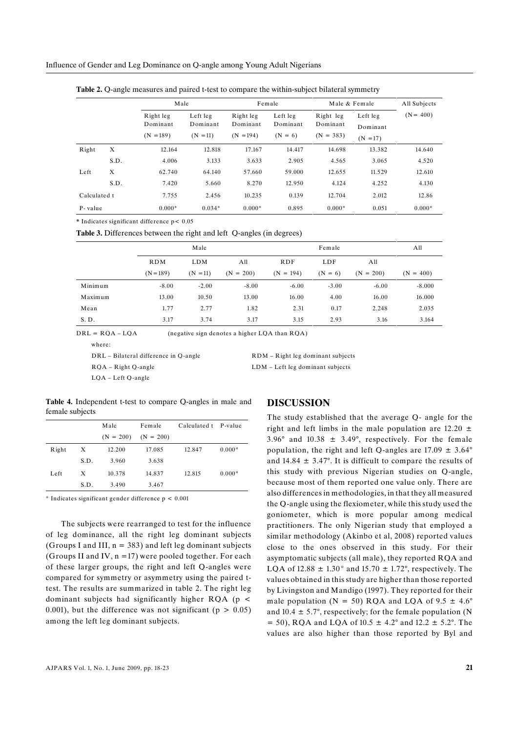|              |      | Male                                 |                                    |                                      | Female                            |                                      | Male & Female                      |             |
|--------------|------|--------------------------------------|------------------------------------|--------------------------------------|-----------------------------------|--------------------------------------|------------------------------------|-------------|
|              |      | Right leg<br>Dominant<br>$(N = 189)$ | Left leg<br>Dominant<br>$(N = 11)$ | Right leg<br>Dominant<br>$(N = 194)$ | Left leg<br>Dominant<br>$(N = 6)$ | Right leg<br>Dominant<br>$(N = 383)$ | Left leg<br>Dominant<br>$(N = 17)$ | $(N = 400)$ |
| Right        | X    | 12.164                               | 12.818                             | 17.167                               | 14.417                            | 14.698                               | 13.382                             | 14.640      |
|              | S.D. | 4.006                                | 3.133                              | 3.633                                | 2.905                             | 4.565                                | 3.065                              | 4.520       |
| Left         | X    | 62.740                               | 64.140                             | 57.660                               | 59.000                            | 12.655                               | 11.529                             | 12.610      |
|              | S.D. | 7.420                                | 5.660                              | 8.270                                | 12.950                            | 4.124                                | 4.252                              | 4.130       |
| Calculated t |      | 7.755                                | 2.456                              | 10.235                               | 0.139                             | 12.704                               | 2.012                              | 12.86       |
| P-value      |      | $0.000*$                             | $0.034*$                           | $0.000*$                             | 0.895                             | $0.000*$                             | 0.051                              | $0.000*$    |

**Table 2.** Q-angle measures and paired t-test to compare the within-subject bilateral symmetry

**\*** Indicates significant difference p< 0.05

**Table 3.** Differences between the right and left Q-angles (in degrees)

|         | Male        |            |             | Female      |           |             | All         |
|---------|-------------|------------|-------------|-------------|-----------|-------------|-------------|
|         | <b>RDM</b>  | <b>LDM</b> | All         | <b>RDF</b>  | LDF       | All         |             |
|         | $(N = 189)$ | $(N = 11)$ | $(N = 200)$ | $(N = 194)$ | $(N = 6)$ | $(N = 200)$ | $(N = 400)$ |
| Minimum | $-8.00$     | $-2.00$    | $-8.00$     | $-6.00$     | $-3.00$   | $-6.00$     | $-8.000$    |
| Maximum | 13.00       | 10.50      | 13.00       | 16.00       | 4.00      | 16.00       | 16.000      |
| Mean    | 1.77        | 2.77       | 1.82        | 2.31        | 0.17      | 2.248       | 2.035       |
| S.D.    | 3.17        | 3.74       | 3.17        | 3.15        | 2.93      | 3.16        | 3.164       |

 $DRL = RQA - LQA$  (negative sign denotes a higher LQA than  $RQA$ )

where:

DRL – Bilateral difference in Q-angle

RQA – Right Q-angle LQA – Left Q-angle

LDM – Left leg dominant subjects

RDM – Right leg dominant subjects

**Table 4.** Independent t-test to compare Q-angles in male and female subjects

|       |      | Male        | Female      | Calculated t P-value |          |
|-------|------|-------------|-------------|----------------------|----------|
|       |      | $(N = 200)$ | $(N = 200)$ |                      |          |
| Right | X    | 12.200      | 17.085      | 12.847               | $0.000*$ |
|       | S.D. | 3.960       | 3.638       |                      |          |
| Left  | X    | 10.378      | 14.837      | 12.815               | $0.000*$ |
|       | S.D. | 3.490       | 3.467       |                      |          |

 $*$  Indicates significant gender difference  $p < 0.001$ 

The subjects were rearranged to test for the influence of leg dominance, all the right leg dominant subjects (Groups I and III,  $n = 383$ ) and left leg dominant subjects (Groups II and IV,  $n = 17$ ) were pooled together. For each of these larger groups, the right and left Q-angles were compared for symmetry or asymmetry using the paired ttest. The results are summarized in table 2. The right leg dominant subjects had significantly higher RQA (p < 0.001), but the difference was not significant ( $p > 0.05$ ) among the left leg dominant subjects.

## **DISCUSSION**

The study established that the average Q- angle for the right and left limbs in the male population are  $12.20 \pm$ 3.96 $^{\circ}$  and 10.38  $\pm$  3.49 $^{\circ}$ , respectively. For the female population, the right and left Q-angles are  $17.09 \pm 3.64^{\circ}$ and  $14.84 \pm 3.47^{\circ}$ . It is difficult to compare the results of this study with previous Nigerian studies on Q-angle, because most of them reported one value only. There are also differences in methodologies, in that they all measured the Q-angle using the flexiometer, while this study used the goniometer, which is more popular among medical practitioners. The only Nigerian study that employed a similar methodology (Akinbo et al, 2008) reported values close to the ones observed in this study. For their asymptomatic subjects (all male), they reported RQA and LQA of 12.88  $\pm$  1.30° and 15.70  $\pm$  1.72°, respectively. The values obtained in this study are higher than those reported by Livingston and Mandigo (1997). They reported for their male population ( $N = 50$ ) RQA and LQA of  $9.5 \pm 4.6^{\circ}$ and  $10.4 \pm 5.7^{\circ}$ , respectively; for the female population (N  $= 50$ ), RQA and LQA of 10.5  $\pm$  4.2° and 12.2  $\pm$  5.2°. The values are also higher than those reported by Byl and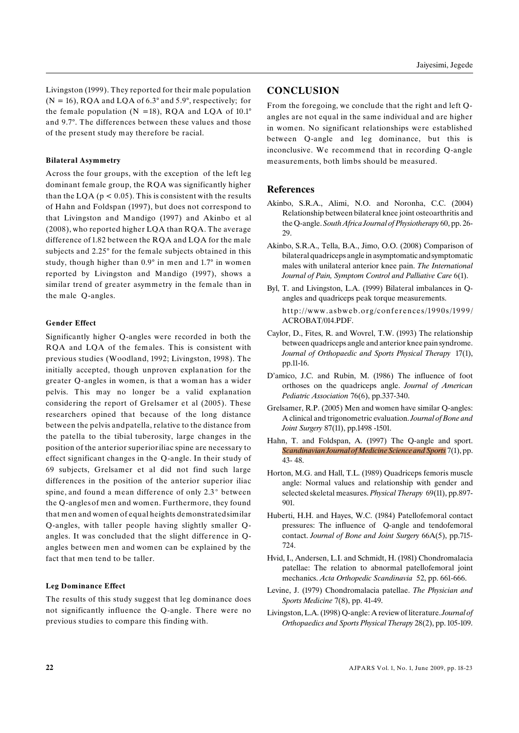Livingston (1999). They reported for their male population  $(N = 16)$ , RQA and LQA of 6.3° and 5.9°, respectively; for the female population ( $N = 18$ ), RQA and LQA of 10.1° and 9.7°. The differences between these values and those of the present study may therefore be racial.

#### **Bilateral Asymmetry**

Across the four groups, with the exception of the left leg dominant female group, the RQA was significantly higher than the LQA ( $p < 0.05$ ). This is consistent with the results of Hahn and Foldspan (1997), but does not correspond to that Livingston and Mandigo (1997) and Akinbo et al (2008), who reported higher LQA than RQA. The average difference of 1.82 between the RQA and LQA for the male subjects and 2.25° for the female subjects obtained in this study, though higher than 0.9° in men and 1.7° in women reported by Livingston and Mandigo (1997), shows a similar trend of greater asymmetry in the female than in the male Q-angles.

#### **Gender Effect**

Significantly higher Q-angles were recorded in both the RQA and LQA of the females. This is consistent with previous studies (Woodland, 1992; Livingston, 1998). The initially accepted, though unproven explanation for the greater Q-angles in women, is that a woman has a wider pelvis. This may no longer be a valid explanation considering the report of Grelsamer et al (2005). These researchers opined that because of the long distance between the pelvis andpatella, relative to the distance from the patella to the tibial tuberosity, large changes in the position of the anterior superioriliac spine are necessary to effect significant changes in the Q-angle. In their study of 69 subjects, Grelsamer et al did not find such large differences in the position of the anterior superior iliac spine, and found a mean difference of only  $2.3^{\circ}$  between the Q-anglesof men and women. Furthermore, they found that men and women of equal heights demonstratedsimilar Q-angles, with taller people having slightly smaller Qangles. It was concluded that the slight difference in Qangles between men and women can be explained by the fact that men tend to be taller.

#### **Leg Dominance Effect**

The results of this study suggest that leg dominance does not significantly influence the Q-angle. There were no previous studies to compare this finding with.

# **CONCLUSION**

From the foregoing, we conclude that the right and left Qangles are not equal in the same individual and are higher in women. No significant relationships were established between Q-angle and leg dominance, but this is inconclusive. We recommend that in recording Q-angle measurements, both limbs should be measured.

## **References**

- Akinbo, S.R.A., Alimi, N.O. and Noronha, C.C. (2004) Relationship between bilateral knee joint osteoarthritis and the Q-angle. *South Africa Journal of Physiotherapy* 60, pp. 26- 29.
- Akinbo, S.R.A., Tella, B.A., Jimo, O.O. (2008) Comparison of bilateral quadriceps angle in asymptomatic and symptomatic males with unilateral anterior knee pain. *The International Journal of Pain, Symptom Control and Palliative Care* 6(1).
- Byl, T. and Livingston, L.A. (1999) Bilateral imbalances in Qangles and quadriceps peak torque measurements. http://www.asbweb.org/conferences/1990s/1999/ ACROBAT/014.PDF.
- Caylor, D., Fites, R. and Wovrel, T.W. (1993) The relationship between quadriceps angle and anterior knee pain syndrome. *Journal of Orthopaedic and Sports Physical Therapy* 17(1), pp.11-16.
- D'amico, J.C. and Rubin, M. (1986) The influence of foot orthoses on the quadriceps angle. *Journal of American Pediatric Association* 76(6), pp.337-340.
- Grelsamer, R.P. (2005) Men and women have similar Q-angles: A clinical and trigonometric evaluation. *Journal of Bone and Joint Surgery* 87(11), pp.1498 -1501.
- Hahn, T. and Foldspan, A. (1997) The Q-angle and sport. *Scandinavian Journal of Medicine Science and Sports* 7(1), pp. 43- 48.
- Horton, M.G. and Hall, T.L. (1989) Quadriceps femoris muscle angle: Normal values and relationship with gender and selected skeletal measures. *Physical Therapy* 69(11), pp.897- 901.
- Huberti, H.H. and Hayes, W.C. (1984) Patellofemoral contact pressures: The influence of Q-angle and tendofemoral contact. *Journal of Bone and Joint Surgery* 66A(5), pp.715- 724.
- Hvid, I., Andersen, L.I. and Schmidt, H. (1981) Chondromalacia patellae: The relation to abnormal patellofemoral joint mechanics. *Acta Orthopedic Scandinavia* 52, pp. 661-666.
- Levine, J. (1979) Chondromalacia patellae. *The Physician and Sports Medicine* 7(8), pp. 41-49.
- Livingston, L.A. (1998) Q-angle: A reviewof literature. *Journal of Orthopaedics and Sports Physical Therapy* 28(2), pp. 105-109.